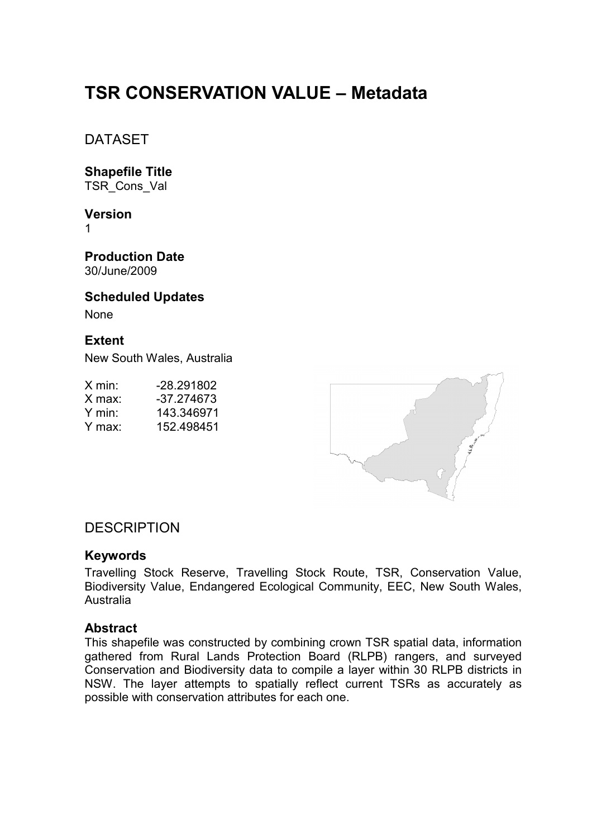# **TSR CONSERVATION VALUE – Metadata**

DATASET

**Shapefile Title**  TSR\_Cons\_Val

**Version**  1

**Production Date**  30/June/2009

**Scheduled Updates**  None

# **Extent**

New South Wales, Australia

| X min:             | -28.291802 |
|--------------------|------------|
| $X$ max:           | -37.274673 |
| Y min <sup>.</sup> | 143.346971 |
| Y max:             | 152.498451 |



# **DESCRIPTION**

#### **Keywords**

Travelling Stock Reserve, Travelling Stock Route, TSR, Conservation Value, Biodiversity Value, Endangered Ecological Community, EEC, New South Wales, Australia

#### **Abstract**

This shapefile was constructed by combining crown TSR spatial data, information gathered from Rural Lands Protection Board (RLPB) rangers, and surveyed Conservation and Biodiversity data to compile a layer within 30 RLPB districts in NSW. The layer attempts to spatially reflect current TSRs as accurately as possible with conservation attributes for each one.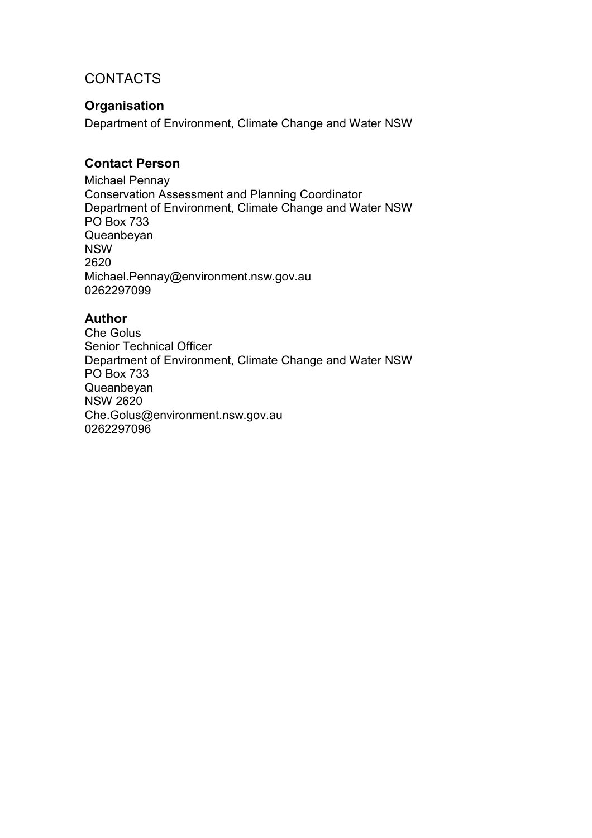# **CONTACTS**

### **Organisation**

Department of Environment, Climate Change and Water NSW

# **Contact Person**

Michael Pennay Conservation Assessment and Planning Coordinator Department of Environment, Climate Change and Water NSW PO Box 733 Queanbeyan NSW 2620 Michael.Pennay@environment.nsw.gov.au 0262297099

### **Author**

Che Golus Senior Technical Officer Department of Environment, Climate Change and Water NSW PO Box 733 Queanbeyan NSW 2620 Che.Golus@environment.nsw.gov.au 0262297096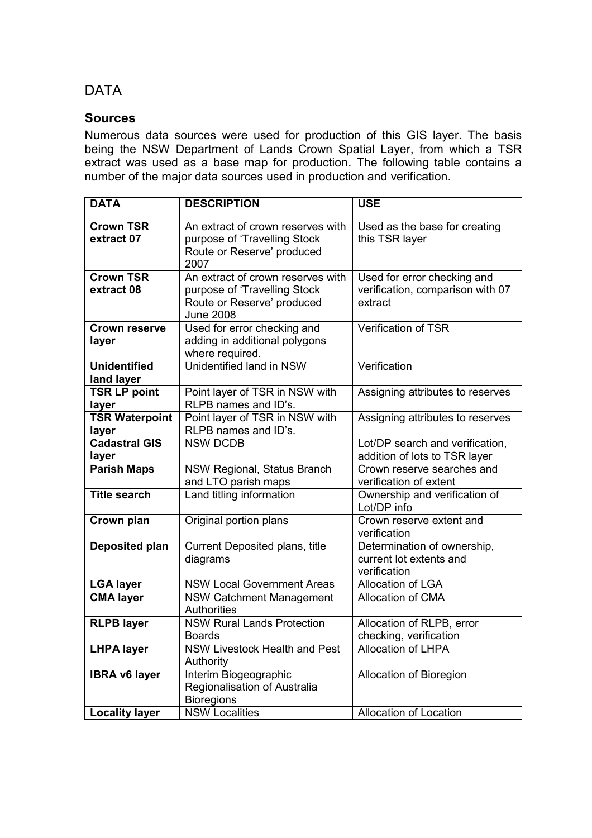# DATA

#### **Sources**

Numerous data sources were used for production of this GIS layer. The basis being the NSW Department of Lands Crown Spatial Layer, from which a TSR extract was used as a base map for production. The following table contains a number of the major data sources used in production and verification.

| <b>DATA</b>                       | <b>DESCRIPTION</b>                                                                                                                                                                                | <b>USE</b>                                                             |  |
|-----------------------------------|---------------------------------------------------------------------------------------------------------------------------------------------------------------------------------------------------|------------------------------------------------------------------------|--|
| <b>Crown TSR</b><br>extract 07    | An extract of crown reserves with<br>purpose of 'Travelling Stock<br>Route or Reserve' produced<br>2007                                                                                           | Used as the base for creating<br>this TSR layer                        |  |
| <b>Crown TSR</b><br>extract 08    | An extract of crown reserves with<br>Used for error checking and<br>verification, comparison with 07<br>purpose of 'Travelling Stock<br>Route or Reserve' produced<br>extract<br><b>June 2008</b> |                                                                        |  |
| <b>Crown reserve</b><br>layer     | <b>Verification of TSR</b><br>Used for error checking and<br>adding in additional polygons<br>where required.                                                                                     |                                                                        |  |
| <b>Unidentified</b><br>land layer | Unidentified land in NSW                                                                                                                                                                          | Verification                                                           |  |
| <b>TSR LP point</b><br>layer      | Point layer of TSR in NSW with<br>RLPB names and ID's.                                                                                                                                            | Assigning attributes to reserves                                       |  |
| <b>TSR Waterpoint</b><br>layer    | Point layer of TSR in NSW with<br>RLPB names and ID's.                                                                                                                                            | Assigning attributes to reserves                                       |  |
| <b>Cadastral GIS</b><br>layer     | <b>NSW DCDB</b>                                                                                                                                                                                   | Lot/DP search and verification,<br>addition of lots to TSR layer       |  |
| <b>Parish Maps</b>                | <b>NSW Regional, Status Branch</b><br>and LTO parish maps                                                                                                                                         | Crown reserve searches and<br>verification of extent                   |  |
| <b>Title search</b>               | Land titling information                                                                                                                                                                          | Ownership and verification of<br>Lot/DP info                           |  |
| Crown plan                        | Original portion plans                                                                                                                                                                            | Crown reserve extent and<br>verification                               |  |
| Deposited plan                    | Current Deposited plans, title<br>diagrams                                                                                                                                                        | Determination of ownership,<br>current lot extents and<br>verification |  |
| <b>LGA layer</b>                  | <b>NSW Local Government Areas</b>                                                                                                                                                                 | <b>Allocation of LGA</b>                                               |  |
| <b>CMA layer</b>                  | <b>NSW Catchment Management</b><br>Authorities                                                                                                                                                    | <b>Allocation of CMA</b>                                               |  |
| <b>RLPB layer</b>                 | <b>NSW Rural Lands Protection</b><br><b>Boards</b>                                                                                                                                                | Allocation of RLPB, error<br>checking, verification                    |  |
| <b>LHPA layer</b>                 | <b>NSW Livestock Health and Pest</b><br>Authority                                                                                                                                                 | Allocation of LHPA                                                     |  |
| <b>IBRA v6 layer</b>              | Interim Biogeographic<br>Regionalisation of Australia<br><b>Bioregions</b>                                                                                                                        | Allocation of Bioregion                                                |  |
| <b>Locality layer</b>             | <b>NSW Localities</b>                                                                                                                                                                             | Allocation of Location                                                 |  |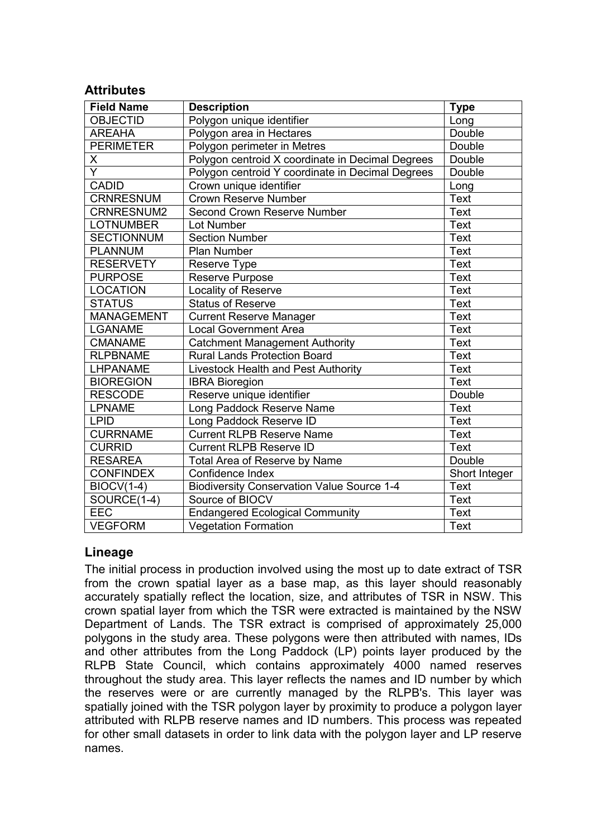#### **Attributes**

| <b>Field Name</b> | <b>Description</b>                                | Type          |
|-------------------|---------------------------------------------------|---------------|
| <b>OBJECTID</b>   | Polygon unique identifier                         | Long          |
| <b>AREAHA</b>     | Polygon area in Hectares                          | Double        |
| <b>PERIMETER</b>  | Polygon perimeter in Metres                       | Double        |
| X                 | Polygon centroid X coordinate in Decimal Degrees  | Double        |
| $\overline{Y}$    | Polygon centroid Y coordinate in Decimal Degrees  | Double        |
| <b>CADID</b>      | Crown unique identifier                           | Long          |
| <b>CRNRESNUM</b>  | <b>Crown Reserve Number</b>                       | <b>Text</b>   |
| CRNRESNUM2        | Second Crown Reserve Number                       | <b>Text</b>   |
| <b>LOTNUMBER</b>  | Lot Number                                        | <b>Text</b>   |
| <b>SECTIONNUM</b> | <b>Section Number</b>                             | <b>Text</b>   |
| <b>PLANNUM</b>    | <b>Plan Number</b>                                | <b>Text</b>   |
| <b>RESERVETY</b>  | Reserve Type                                      | <b>Text</b>   |
| <b>PURPOSE</b>    | <b>Reserve Purpose</b>                            | <b>Text</b>   |
| <b>LOCATION</b>   | Locality of Reserve                               | <b>Text</b>   |
| <b>STATUS</b>     | <b>Status of Reserve</b>                          | <b>Text</b>   |
| <b>MANAGEMENT</b> | <b>Current Reserve Manager</b>                    | <b>Text</b>   |
| <b>LGANAME</b>    | <b>Local Government Area</b>                      | <b>Text</b>   |
| <b>CMANAME</b>    | <b>Catchment Management Authority</b>             | <b>Text</b>   |
| <b>RLPBNAME</b>   | <b>Rural Lands Protection Board</b>               | <b>Text</b>   |
| LHPANAME          | Livestock Health and Pest Authority               | <b>Text</b>   |
| <b>BIOREGION</b>  | <b>IBRA Bioregion</b>                             | <b>Text</b>   |
| <b>RESCODE</b>    | Reserve unique identifier                         | Double        |
| <b>LPNAME</b>     | Long Paddock Reserve Name                         | <b>Text</b>   |
| <b>LPID</b>       | Long Paddock Reserve ID                           | <b>Text</b>   |
| <b>CURRNAME</b>   | <b>Current RLPB Reserve Name</b>                  | <b>Text</b>   |
| <b>CURRID</b>     | <b>Current RLPB Reserve ID</b>                    | <b>Text</b>   |
| <b>RESAREA</b>    | Total Area of Reserve by Name                     | Double        |
| <b>CONFINDEX</b>  | Confidence Index                                  | Short Integer |
| <b>BIOCV(1-4)</b> | <b>Biodiversity Conservation Value Source 1-4</b> | <b>Text</b>   |
| SOURCE(1-4)       | Source of BIOCV                                   | <b>Text</b>   |
| <b>EEC</b>        | <b>Endangered Ecological Community</b>            | <b>Text</b>   |
| <b>VEGFORM</b>    | <b>Vegetation Formation</b>                       | <b>Text</b>   |

#### **Lineage**

The initial process in production involved using the most up to date extract of TSR from the crown spatial layer as a base map, as this layer should reasonably accurately spatially reflect the location, size, and attributes of TSR in NSW. This crown spatial layer from which the TSR were extracted is maintained by the NSW Department of Lands. The TSR extract is comprised of approximately 25,000 polygons in the study area. These polygons were then attributed with names, IDs and other attributes from the Long Paddock (LP) points layer produced by the RLPB State Council, which contains approximately 4000 named reserves throughout the study area. This layer reflects the names and ID number by which the reserves were or are currently managed by the RLPB's. This layer was spatially joined with the TSR polygon layer by proximity to produce a polygon layer attributed with RLPB reserve names and ID numbers. This process was repeated for other small datasets in order to link data with the polygon layer and LP reserve names.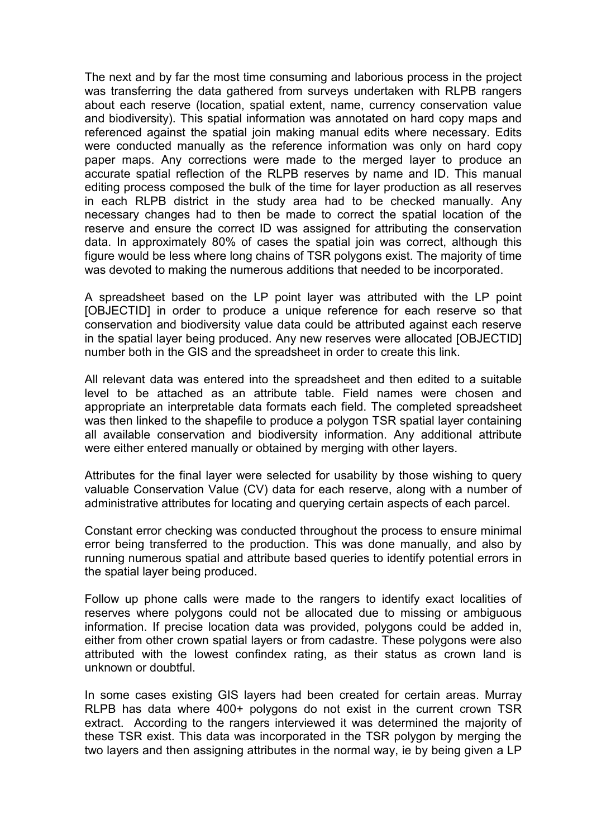The next and by far the most time consuming and laborious process in the project was transferring the data gathered from surveys undertaken with RLPB rangers about each reserve (location, spatial extent, name, currency conservation value and biodiversity). This spatial information was annotated on hard copy maps and referenced against the spatial join making manual edits where necessary. Edits were conducted manually as the reference information was only on hard copy paper maps. Any corrections were made to the merged layer to produce an accurate spatial reflection of the RLPB reserves by name and ID. This manual editing process composed the bulk of the time for layer production as all reserves in each RLPB district in the study area had to be checked manually. Any necessary changes had to then be made to correct the spatial location of the reserve and ensure the correct ID was assigned for attributing the conservation data. In approximately 80% of cases the spatial join was correct, although this figure would be less where long chains of TSR polygons exist. The majority of time was devoted to making the numerous additions that needed to be incorporated.

A spreadsheet based on the LP point layer was attributed with the LP point [OBJECTID] in order to produce a unique reference for each reserve so that conservation and biodiversity value data could be attributed against each reserve in the spatial layer being produced. Any new reserves were allocated [OBJECTID] number both in the GIS and the spreadsheet in order to create this link.

All relevant data was entered into the spreadsheet and then edited to a suitable level to be attached as an attribute table. Field names were chosen and appropriate an interpretable data formats each field. The completed spreadsheet was then linked to the shapefile to produce a polygon TSR spatial layer containing all available conservation and biodiversity information. Any additional attribute were either entered manually or obtained by merging with other layers.

Attributes for the final layer were selected for usability by those wishing to query valuable Conservation Value (CV) data for each reserve, along with a number of administrative attributes for locating and querying certain aspects of each parcel.

Constant error checking was conducted throughout the process to ensure minimal error being transferred to the production. This was done manually, and also by running numerous spatial and attribute based queries to identify potential errors in the spatial layer being produced.

Follow up phone calls were made to the rangers to identify exact localities of reserves where polygons could not be allocated due to missing or ambiguous information. If precise location data was provided, polygons could be added in, either from other crown spatial layers or from cadastre. These polygons were also attributed with the lowest confindex rating, as their status as crown land is unknown or doubtful.

In some cases existing GIS layers had been created for certain areas. Murray RLPB has data where 400+ polygons do not exist in the current crown TSR extract. According to the rangers interviewed it was determined the majority of these TSR exist. This data was incorporated in the TSR polygon by merging the two layers and then assigning attributes in the normal way, ie by being given a LP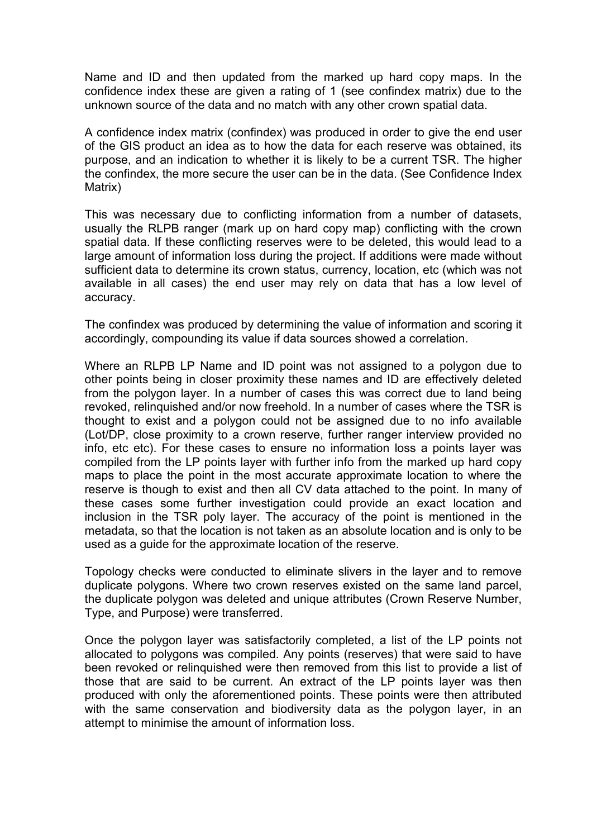Name and ID and then updated from the marked up hard copy maps. In the confidence index these are given a rating of 1 (see confindex matrix) due to the unknown source of the data and no match with any other crown spatial data.

A confidence index matrix (confindex) was produced in order to give the end user of the GIS product an idea as to how the data for each reserve was obtained, its purpose, and an indication to whether it is likely to be a current TSR. The higher the confindex, the more secure the user can be in the data. (See Confidence Index Matrix)

This was necessary due to conflicting information from a number of datasets, usually the RLPB ranger (mark up on hard copy map) conflicting with the crown spatial data. If these conflicting reserves were to be deleted, this would lead to a large amount of information loss during the project. If additions were made without sufficient data to determine its crown status, currency, location, etc (which was not available in all cases) the end user may rely on data that has a low level of accuracy.

The confindex was produced by determining the value of information and scoring it accordingly, compounding its value if data sources showed a correlation.

Where an RLPB LP Name and ID point was not assigned to a polygon due to other points being in closer proximity these names and ID are effectively deleted from the polygon layer. In a number of cases this was correct due to land being revoked, relinquished and/or now freehold. In a number of cases where the TSR is thought to exist and a polygon could not be assigned due to no info available (Lot/DP, close proximity to a crown reserve, further ranger interview provided no info, etc etc). For these cases to ensure no information loss a points layer was compiled from the LP points layer with further info from the marked up hard copy maps to place the point in the most accurate approximate location to where the reserve is though to exist and then all CV data attached to the point. In many of these cases some further investigation could provide an exact location and inclusion in the TSR poly layer. The accuracy of the point is mentioned in the metadata, so that the location is not taken as an absolute location and is only to be used as a guide for the approximate location of the reserve.

Topology checks were conducted to eliminate slivers in the layer and to remove duplicate polygons. Where two crown reserves existed on the same land parcel, the duplicate polygon was deleted and unique attributes (Crown Reserve Number, Type, and Purpose) were transferred.

Once the polygon layer was satisfactorily completed, a list of the LP points not allocated to polygons was compiled. Any points (reserves) that were said to have been revoked or relinquished were then removed from this list to provide a list of those that are said to be current. An extract of the LP points layer was then produced with only the aforementioned points. These points were then attributed with the same conservation and biodiversity data as the polygon layer, in an attempt to minimise the amount of information loss.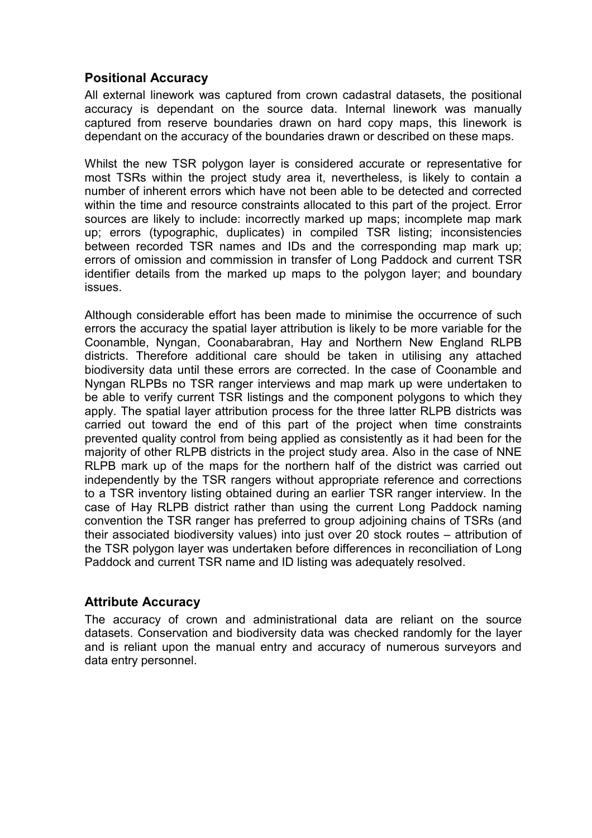## **Positional Accuracy**

All external linework was captured from crown cadastral datasets, the positional accuracy is dependant on the source data. Internal linework was manually captured from reserve boundaries drawn on hard copy maps, this linework is dependant on the accuracy of the boundaries drawn or described on these maps.

Whilst the new TSR polygon layer is considered accurate or representative for most TSRs within the project study area it, nevertheless, is likely to contain a number of inherent errors which have not been able to be detected and corrected within the time and resource constraints allocated to this part of the project. Error sources are likely to include: incorrectly marked up maps; incomplete map mark up; errors (typographic, duplicates) in compiled TSR listing; inconsistencies between recorded TSR names and IDs and the corresponding map mark up; errors of omission and commission in transfer of Long Paddock and current TSR identifier details from the marked up maps to the polygon layer; and boundary issues.

Although considerable effort has been made to minimise the occurrence of such errors the accuracy the spatial layer attribution is likely to be more variable for the Coonamble, Nyngan, Coonabarabran, Hay and Northern New England RLPB districts. Therefore additional care should be taken in utilising any attached biodiversity data until these errors are corrected. In the case of Coonamble and Nyngan RLPBs no TSR ranger interviews and map mark up were undertaken to be able to verify current TSR listings and the component polygons to which they apply. The spatial layer attribution process for the three latter RLPB districts was carried out toward the end of this part of the project when time constraints prevented quality control from being applied as consistently as it had been for the majority of other RLPB districts in the project study area. Also in the case of NNE RLPB mark up of the maps for the northern half of the district was carried out independently by the TSR rangers without appropriate reference and corrections to a TSR inventory listing obtained during an earlier TSR ranger interview. In the case of Hay RLPB district rather than using the current Long Paddock naming convention the TSR ranger has preferred to group adjoining chains of TSRs (and their associated biodiversity values) into just over 20 stock routes – attribution of the TSR polygon layer was undertaken before differences in reconciliation of Long Paddock and current TSR name and ID listing was adequately resolved.

#### **Attribute Accuracy**

The accuracy of crown and administrational data are reliant on the source datasets. Conservation and biodiversity data was checked randomly for the layer and is reliant upon the manual entry and accuracy of numerous surveyors and data entry personnel.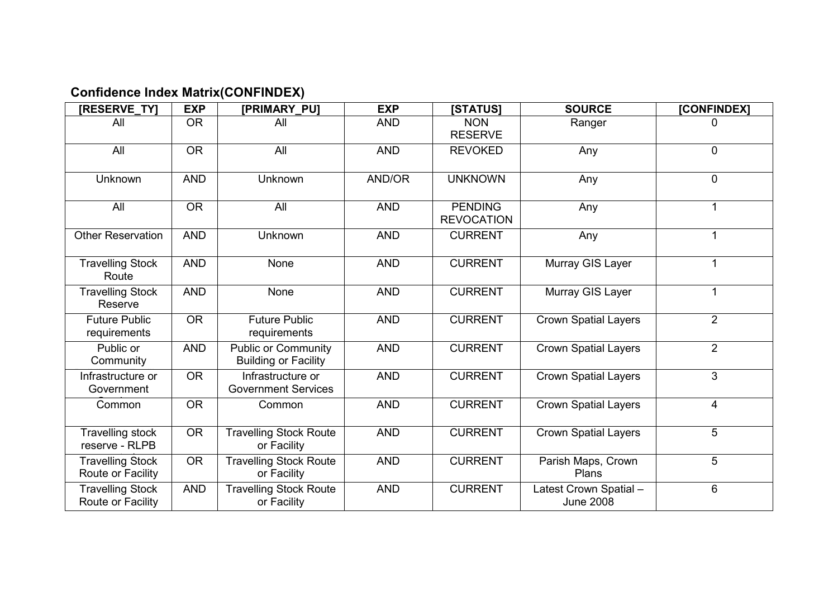# **Confidence Index Matrix(CONFINDEX)**

| [RESERVE_TY]                                 | <b>EXP</b> | <b>[PRIMARY PU]</b>                                       | <b>EXP</b> | <b>[STATUS]</b>                     | <b>SOURCE</b>                              | [CONFINDEX]    |
|----------------------------------------------|------------|-----------------------------------------------------------|------------|-------------------------------------|--------------------------------------------|----------------|
| All                                          | <b>OR</b>  | All                                                       | <b>AND</b> | <b>NON</b><br><b>RESERVE</b>        | Ranger                                     | 0              |
| All                                          | <b>OR</b>  | All                                                       | <b>AND</b> | <b>REVOKED</b>                      | Any                                        | $\mathbf 0$    |
| Unknown                                      | <b>AND</b> | Unknown                                                   | AND/OR     | <b>UNKNOWN</b>                      | Any                                        | $\mathbf 0$    |
| All                                          | <b>OR</b>  | All                                                       | <b>AND</b> | <b>PENDING</b><br><b>REVOCATION</b> | Any                                        | 1              |
| <b>Other Reservation</b>                     | <b>AND</b> | <b>Unknown</b>                                            | <b>AND</b> | <b>CURRENT</b>                      | Any                                        |                |
| <b>Travelling Stock</b><br>Route             | <b>AND</b> | None                                                      | <b>AND</b> | <b>CURRENT</b>                      | Murray GIS Layer                           | 1              |
| <b>Travelling Stock</b><br>Reserve           | <b>AND</b> | None                                                      | <b>AND</b> | <b>CURRENT</b>                      | Murray GIS Layer                           | 1              |
| <b>Future Public</b><br>requirements         | <b>OR</b>  | <b>Future Public</b><br>requirements                      | <b>AND</b> | <b>CURRENT</b>                      | <b>Crown Spatial Layers</b>                | 2              |
| Public or<br>Community                       | <b>AND</b> | <b>Public or Community</b><br><b>Building or Facility</b> | <b>AND</b> | <b>CURRENT</b>                      | <b>Crown Spatial Layers</b>                | $\overline{2}$ |
| Infrastructure or<br>Government              | <b>OR</b>  | Infrastructure or<br><b>Government Services</b>           | <b>AND</b> | <b>CURRENT</b>                      | <b>Crown Spatial Layers</b>                | 3              |
| Common                                       | <b>OR</b>  | Common                                                    | <b>AND</b> | <b>CURRENT</b>                      | <b>Crown Spatial Layers</b>                | $\overline{4}$ |
| Travelling stock<br>reserve - RLPB           | <b>OR</b>  | <b>Travelling Stock Route</b><br>or Facility              | <b>AND</b> | <b>CURRENT</b>                      | <b>Crown Spatial Layers</b>                | 5              |
| <b>Travelling Stock</b><br>Route or Facility | <b>OR</b>  | <b>Travelling Stock Route</b><br>or Facility              | <b>AND</b> | <b>CURRENT</b>                      | Parish Maps, Crown<br>Plans                | 5              |
| <b>Travelling Stock</b><br>Route or Facility | <b>AND</b> | <b>Travelling Stock Route</b><br>or Facility              | <b>AND</b> | <b>CURRENT</b>                      | Latest Crown Spatial -<br><b>June 2008</b> | 6              |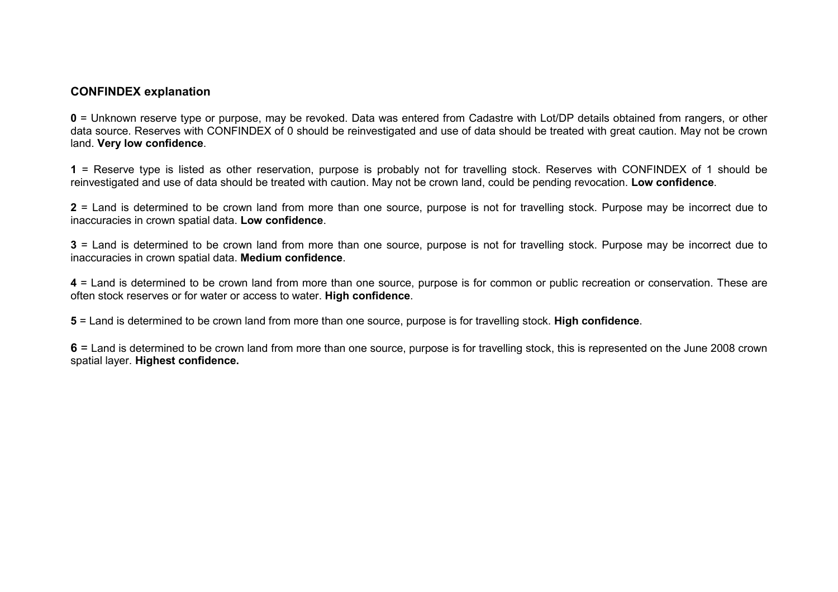#### **CONFINDEX explanation**

**0** = Unknown reserve type or purpose, may be revoked. Data was entered from Cadastre with Lot/DP details obtained from rangers, or other data source. Reserves with CONFINDEX of 0 should be reinvestigated and use of data should be treated with great caution. May not be crown land. **Very low confidence**.

**1** = Reserve type is listed as other reservation, purpose is probably not for travelling stock. Reserves with CONFINDEX of 1 should be reinvestigated and use of data should be treated with caution. May not be crown land, could be pending revocation. **Low confidence**.

**2** = Land is determined to be crown land from more than one source, purpose is not for travelling stock. Purpose may be incorrect due to inaccuracies in crown spatial data. **Low confidence**.

**3** = Land is determined to be crown land from more than one source, purpose is not for travelling stock. Purpose may be incorrect due to inaccuracies in crown spatial data. **Medium confidence**.

**4** = Land is determined to be crown land from more than one source, purpose is for common or public recreation or conservation. These are often stock reserves or for water or access to water. **High confidence**.

**5** = Land is determined to be crown land from more than one source, purpose is for travelling stock. **High confidence**.

**6** = Land is determined to be crown land from more than one source, purpose is for travelling stock, this is represented on the June 2008 crown spatial layer. **Highest confidence.**